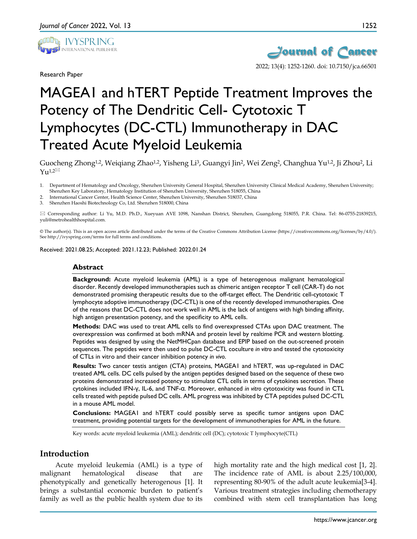

Research Paper



2022; 13(4): 1252-1260. doi: 10.7150/jca.66501

# MAGEA1 and hTERT Peptide Treatment Improves the Potency of The Dendritic Cell- Cytotoxic T Lymphocytes (DC-CTL) Immunotherapy in DAC Treated Acute Myeloid Leukemia

Guocheng Zhong<sup>1,2</sup>, Weigiang Zhao<sup>1,2</sup>, Yisheng Li<sup>3</sup>, Guangyi Jin<sup>2</sup>, Wei Zeng<sup>2</sup>, Changhua Yu<sup>1,2</sup>, Ji Zhou<sup>2</sup>, Li  $Yu^{1,2}$ 

- 1. Department of Hematology and Oncology, Shenzhen University General Hospital, Shenzhen University Clinical Medical Academy, Shenzhen University; Shenzhen Key Laboratory, Hematology Institution of Shenzhen University, Shenzhen 518055, China
- 2. International Cancer Center, Health Science Center, Shenzhen University, Shenzhen 518037, China
- 3. Shenzhen Haoshi Biotechnology Co, Ltd. Shenzhen 518000, China

 Corresponding author: Li Yu, M.D. Ph.D., Xueyuan AVE 1098, Nanshan District, Shenzhen, Guangdong 518055, P.R. China. Tel: 86-0755-21839215, yuli@metrohealthhospital.com.

© The author(s). This is an open access article distributed under the terms of the Creative Commons Attribution License (https://creativecommons.org/licenses/by/4.0/). See http://ivyspring.com/terms for full terms and conditions.

Received: 2021.08.25; Accepted: 2021.12.23; Published: 2022.01.24

## **Abstract**

**Background:** Acute myeloid leukemia (AML) is a type of heterogenous malignant hematological disorder. Recently developed immunotherapies such as chimeric antigen receptor T cell (CAR-T) do not demonstrated promising therapeutic results due to the off-target effect. The Dendritic cell-cytotoxic T lymphocyte adoptive immunotherapy (DC-CTL) is one of the recently developed immunotherapies. One of the reasons that DC-CTL does not work well in AML is the lack of antigens with high binding affinity, high antigen presentation potency, and the specificity to AML cells.

**Methods:** DAC was used to treat AML cells to find overexpressed CTAs upon DAC treatment. The overexpression was confirmed at both mRNA and protein level by realtime PCR and western blotting. Peptides was designed by using the NetMHCpan database and EPIP based on the out-screened protein sequences. The peptides were then used to pulse DC-CTL coculture *in vitro* and tested the cytotoxicity of CTLs in vitro and their cancer inhibition potency *in vivo*.

**Results:** Two cancer testis antigen (CTA) proteins, MAGEA1 and hTERT, was up-regulated in DAC treated AML cells. DC cells pulsed by the antigen peptides designed based on the sequence of these two proteins demonstrated increased potency to stimulate CTL cells in terms of cytokines secretion. These cytokines included IFN-γ, IL-6, and TNF-α. Moreover, enhanced *in vitro* cytotoxicity was found in CTL cells treated with peptide pulsed DC cells. AML progress was inhibited by CTA peptides pulsed DC-CTL in a mouse AML model.

**Conclusions:** MAGEA1 and hTERT could possibly serve as specific tumor antigens upon DAC treatment, providing potential targets for the development of immunotherapies for AML in the future.

Key words: acute myeloid leukemia (AML); dendritic cell (DC); cytotoxic T lymphocyte(CTL)

# **Introduction**

Acute myeloid leukemia (AML) is a type of malignant hematological disease that are phenotypically and genetically heterogenous [1]. It brings a substantial economic burden to patient's family as well as the public health system due to its

high mortality rate and the high medical cost [1, 2]. The incidence rate of AML is about 2.25/100,000, representing 80-90% of the adult acute leukemia[3-4]. Various treatment strategies including chemotherapy combined with stem cell transplantation has long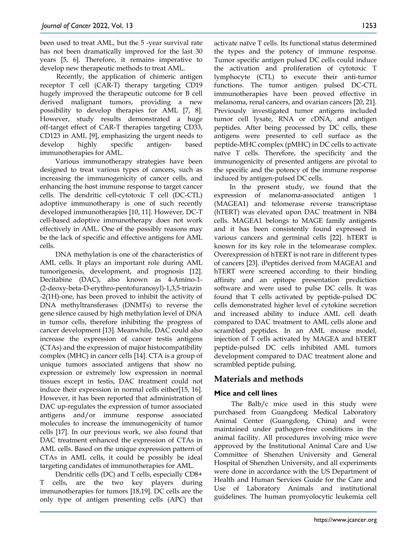been used to treat AML, but the 5 -year survival rate has not been dramatically improved for the last 30 years [5, 6]. Therefore, it remains imperative to develop new therapeutic methods to treat AML.

Recently, the application of chimeric antigen receptor T cell (CAR-T) therapy targeting CD19 hugely improved the therapeutic outcome for B cell derived malignant tumors, providing a new possibility to develop therapies for AML [7, 8]. However, study results demonstrated a huge off-target effect of CAR-T therapies targeting CD33, CD123 in AML [9], emphasizing the urgent needs to develop highly specific antigen- based immunotherapies for AML.

Various immunotherapy strategies have been designed to treat various types of cancers, such as increasing the immunogenicity of cancer cells, and enhancing the host immune response to target cancer cells. The dendritic cell-cytotoxic T cell (DC-CTL) adoptive immunotherapy is one of such recently developed immunotherapies [10, 11]. However, DC-T cell-based adoptive immunotherapy does not work effectively in AML. One of the possibly reasons may be the lack of specific and effective antigens for AML cells.

DNA methylation is one of the characteristics of AML cells. It plays an important role during AML tumorigenesis, development, and prognosis [12]. Decitabine (DAC), also known as 4-Amino-1- (2-deoxy-beta-D-erythro-pentofuranosyl)-1,3,5-triazin -2(1H)-one, has been proved to inhibit the activity of DNA methyltransferases (DNMTs) to reverse the gene silence caused by high methylation level of DNA in tumor cells, therefore inhibiting the progress of cancer development [13]. Meanwhile, DAC could also increase the expression of cancer testis antigens (CTAs) and the expression of major histocompatibility complex (MHC) in cancer cells [14]. CTA is a group of unique tumors associated antigens that show no expression or extremely low expression in normal tissues except in testis, DAC treatment could not induce their expression in normal cells either[15, 16]. However, it has been reported that administration of DAC up-regulates the expression of tumor associated antigens and/or immune response associated molecules to increase the immunogenicity of tumor cells [17]. In our previous work, we also found that DAC treatment enhanced the expression of CTAs in AML cells. Based on the unique expression pattern of CTAs in AML cells, it could be possibly be ideal targeting candidates of immunotherapies for AML.

Dendritic cells (DC) and T cells, especially CD8+ T cells, are the two key players during immunotherapies for tumors [18,19]. DC cells are the only type of antigen presenting cells (APC) that activate naïve T cells. Its functional status determined the types and the potency of immune response. Tumor specific antigen pulsed DC cells could induce the activation and proliferation of cytotoxic T lymphocyte (CTL) to execute their anti-tumor functions. The tumor antigen pulsed DC-CTL immunotherapies have been proved effective in melanoma, renal cancers, and ovarian cancers [20, 21]. Previously investigated tumor antigens included tumor cell lysate, RNA or cDNA, and antigen peptides. After being processed by DC cells, these antigens were presented to cell surface as the peptide-MHC complex (pMHC) in DC cells to activate naïve T cells. Therefore, the specificity and the immunogenicity of presented antigens are pivotal to the specific and the potency of the immune response induced by antigen-pulsed DC cells.

In the present study, we found that the expression of melanoma-associated antigen 1 (MAGEA1) and telomerase reverse transcriptase (hTERT) was elevated upon DAC treatment in NB4 cells. MAGEA1 belongs to MAGE family antigents and it has been consistently found expressed in various cancers and germinal cells [22]. hTERT is known for its key role in the telomearase complex. Overexpression of hTERT is not rare in different types of cancers [23]. iPeptides derived from MAGEA1 and hTERT were screened according to their binding affinity and an epitope presentation prediction software and were used to pulse DC cells. It was found that T cells activated by peptide-pulsed DC cells demonstrated higher level of cytokine secretion and increased ability to induce AML cell death compared to DAC treatment to AML cells alone and scrambled peptides. In an AML mouse model, injection of T cells activated by MAGEA and hTERT peptide-pulsed DC cells inhibited AML tumors development compared to DAC treatment alone and scrambled peptide pulsing.

# **Materials and methods**

# **Mice and cell lines**

The Balb/c mice used in this study were purchased from Guangdong Medical Laboratory Animal Center (Guangdong, China) and were maintained under pathogen-free conditions in the animal facility. All procedures involving mice were approved by the Institutional Animal Care and Use Committee of Shenzhen University and General Hospital of Shenzhen University, and all experiments were done in accordance with the US Department of Health and Human Services Guide for the Care and Use of Laboratory Animals and institutional guidelines. The human promyolocytic leukemia cell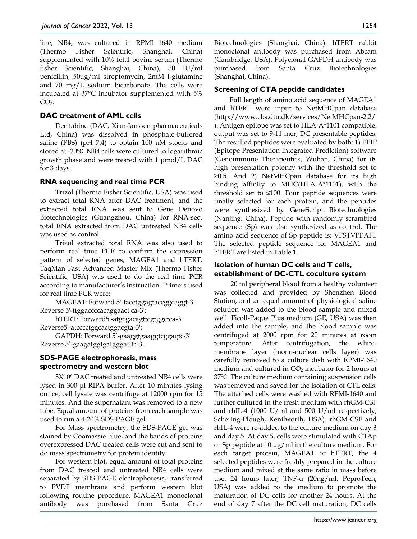line, NB4, was cultured in RPMI 1640 medium (Thermo Fisher Scientific, Shanghai, China) supplemented with 10% fetal bovine serum (Thermo fisher Scientific, Shanghai, China), 50 IU/ml penicillin, 50μg/ml streptomycin, 2mM l-glutamine and 70 mg/L sodium bicarbonate. The cells were incubated at 37°C incubator supplemented with 5%  $CO<sub>2</sub>$ .

#### **DAC treatment of AML cells**

Decitabine (DAC, Xian-Janssen pharmaceuticals Ltd, China) was dissolved in phosphate-buffered saline (PBS) (pH 7.4) to obtain 100 µM stocks and stored at -20℃. NB4 cells were cultured to logarithmic growth phase and were treated with 1 μmol/L DAC for 3 days.

#### **RNA sequencing and real time PCR**

Trizol (Thermo Fisher Scientific, USA) was used to extract total RNA after DAC treatment, and the extracted total RNA was sent to Gene Denovo Biotechnologies (Guangzhou, China) for RNA-seq. total RNA extracted from DAC untreated NB4 cells was used as control.

Trizol extracted total RNA was also used to perform real time PCR to confirm the expression pattern of selected genes, MAGEA1 and hTERT. TaqMan Fast Advanced Master Mix (Thermo Fisher Scientific, USA) was used to do the real time PCR according to manufacturer's instruction. Primers used for real time PCR were:

MAGEA1: Forward 5'-tacctggagtaccggcaggt-3' Reverse 5'-ttggaccccacaggaact ca-3';

hTERT: Forward5'-atgcgacagttcgtggctca-3' Reverse5'-atcccctggcactggacgta-3';

GAPDH: Forward 5'-gaaggtgaaggtcggagtc-3' Reverse 5'-gaagatggtgatgggatttc-3'.

## **SDS-PAGE electrophoresis, mass spectrometry and western blot**

5X106 DAC treated and untreated NB4 cells were lysed in 300 μl RIPA buffer. After 10 minutes lysing on ice, cell lysate was centrifuge at 12000 rpm for 15 minutes. And the supernatant was removed to a new tube. Equal amount of proteins from each sample was used to run a 4-20% SDS-PAGE gel.

For Mass spectrometry, the SDS-PAGE gel was stained by Coomassie Blue, and the bands of proteins overexpressed DAC treated cells were cut and sent to do mass spectrometry for protein identity.

For western blot, equal amount of total proteins from DAC treated and untreated NB4 cells were separated by SDS-PAGE electrophoresis, transferred to PVDF membrane and perform western blot following routine procedure. MAGEA1 monoclonal antibody was purchased from Santa Cruz Biotechnologies (Shanghai, China). hTERT rabbit monoclonal antibody was purchased from Abcam (Cambridge, USA). Polyclonal GAPDH antibody was purchased from Santa Cruz Biotechnologies (Shanghai, China).

#### **Screening of CTA peptide candidates**

Full length of amino acid sequence of MAGEA1 and hTERT were input to NetMHCpan database (http://www.cbs.dtu.dk/services/NetMHCpan-2.2/ ). Antigen epitope was set to HLA-A\*1101 compatible, output was set to 9-11 mer, DC presentable peptides. The resulted peptides were evaluated by both: 1) EPIP (Epitope Presentation Integrated Prediction) software (Genoimmune Therapeutics, Wuhan, China) for its high presentation potency with the threshold set to ≥0.5. And 2) NetMHCpan database for its high binding affinity to MHC(HLA-A\*1101), with the threshold set to ≤100. Four peptide sequences were finally selected for each protein, and the peptides were synthesized by GeneScript Biotechnologies (Nanjing, China). Peptide with randomly scrambled sequence (Sp) was also synthesized as control. The amino acid sequence of Sp peptide is: VFSTVPPAFI. The selected peptide sequence for MAGEA1 and hTERT are listed in **Table 1**.

## **Isolation of human DC cells and T cells, establishment of DC-CTL coculture system**

20 ml peripheral blood from a healthy volunteer was collected and provided by Shenzhen Blood Station, and an equal amount of physiological saline solution was added to the blood sample and mixed well. Ficoll-Paque Plus medium (GE, USA) was then added into the sample, and the blood sample was centrifuged at 2000 rpm for 20 minutes at room temperature. After centrifugation, the whitemembrane layer (mono-nuclear cells layer) was carefully removed to a culture dish with RPMI-1640 medium and cultured in  $CO<sub>2</sub>$  incubator for 2 hours at 37℃. The culture medium containing suspension cells was removed and saved for the isolation of CTL cells. The attached cells were washed with RPMI-1640 and further cultured in the fresh medium with rhGM-CSF and rhIL-4 (1000 U/ml and 500 U/ml respectively, Schering-Plough, Kenilworth, USA). rhGM-CSF and rhIL-4 were re-added to the culture medium on day 3 and day 5. At day 5, cells were stimulated with CTAp or Sp peptide at 10 ug/ml in the culture medium. For each target protein, MAGEA1 or hTERT, the 4 selected peptides were freshly prepared in the culture medium and mixed at the same ratio in mass before use. 24 hours later, TNF-α (20ng/ml, PeproTech, USA) was added to the medium to promote the maturation of DC cells for another 24 hours. At the end of day 7 after the DC cell maturation, DC cells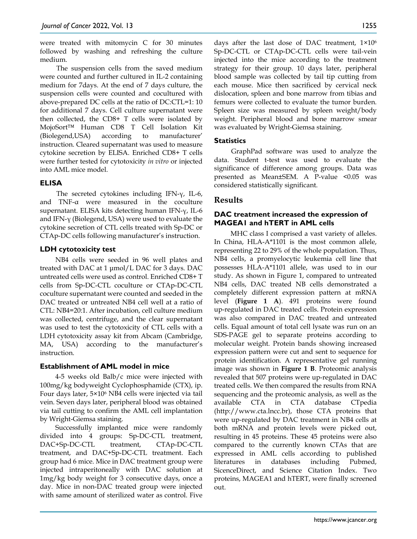were treated with mitomycin C for 30 minutes followed by washing and refreshing the culture medium.

The suspension cells from the saved medium were counted and further cultured in IL-2 containing medium for 7days. At the end of 7 days culture, the suspension cells were counted and cocultured with above-prepared DC cells at the ratio of DC:CTL=1: 10 for additional 7 days. Cell culture supernatant were then collected, the CD8+ T cells were isolated by MojoSort™ Human CD8 T Cell Isolation Kit (Biolegend,USA) according to manufacturer' instruction. Cleared supernatant was used to measure cytokine secretion by ELISA. Enriched CD8+ T cells were further tested for cytotoxicity *in vitro* or injected into AML mice model.

# **ELISA**

The secreted cytokines including IFN-γ, IL-6, and TNF-α were measured in the coculture supernatant. ELISA kits detecting human IFN-γ, IL-6 and IFN-γ (Biolegend, USA) were used to evaluate the cytokine secretion of CTL cells treated with Sp-DC or CTAp-DC cells following manufacturer's instruction.

# **LDH cytotoxicity test**

NB4 cells were seeded in 96 well plates and treated with DAC at 1 μmol/L DAC for 3 days. DAC untreated cells were used as control. Enriched CD8+ T cells from Sp-DC-CTL coculture or CTAp-DC-CTL coculture supernatant were counted and seeded in the DAC treated or untreated NB4 cell well at a ratio of CTL: NB4=20:1. After incubation, cell culture medium was collected, centrifuge, and the clear supernatant was used to test the cytotoxicity of CTL cells with a LDH cytotoxicity assay kit from Abcam (Cambridge, MA, USA) according to the manufacturer's instruction.

## **Establishment of AML model in mice**

4-5 weeks old Balb/c mice were injected with 100mg/kg bodyweight Cyclophosphamide (CTX), ip. Four days later, 5×106 NB4 cells were injected via tail vein. Seven days later, peripheral blood was obtained via tail cutting to confirm the AML cell implantation by Wright-Giemsa staining.

Successfully implanted mice were randomly divided into 4 groups: Sp-DC-CTL treatment, DAC+Sp-DC-CTL treatment, CTAp-DC-CTL treatment, and DAC+Sp-DC-CTL treatment. Each group had 6 mice. Mice in DAC treatment group were injected intraperitoneally with DAC solution at 1mg/kg body weight for 3 consecutive days, once a day. Mice in non-DAC treated group were injected with same amount of sterilized water as control. Five

days after the last dose of DAC treatment, 1×106 Sp-DC-CTL or CTAp-DC-CTL cells were tail-vein injected into the mice according to the treatment strategy for their group. 10 days later, peripheral blood sample was collected by tail tip cutting from each mouse. Mice then sacrificed by cervical neck dislocation, spleen and bone marrow from tibias and femurs were collected to evaluate the tumor burden. Spleen size was measured by spleen weight/body weight. Peripheral blood and bone marrow smear was evaluated by Wright-Giemsa staining.

# **Statistics**

GraphPad software was used to analyze the data. Student t-test was used to evaluate the significance of difference among groups. Data was presented as Mean±SEM. A P-value <0.05 was considered statistically significant.

# **Results**

# **DAC treatment increased the expression of MAGEA1 and hTERT in AML cells**

MHC class I comprised a vast variety of alleles. In China, HLA-A\*1101 is the most common allele, representing 22 to 29% of the whole population. Thus, NB4 cells, a promyelocytic leukemia cell line that possesses HLA-A\*1101 allele, was used to in our study. As shown in Figure 1, compared to untreated NB4 cells, DAC treated NB cells demonstrated a completely different expression pattern at mRNA level (**Figure 1 A**). 491 proteins were found up-regulated in DAC treated cells. Protein expression was also compared in DAC treated and untreated cells. Equal amount of total cell lysate was run on an SDS-PAGE gel to separate proteins according to molecular weight. Protein bands showing increased expression pattern were cut and sent to sequence for protein identification. A representative gel running image was shown in **Figure 1 B**. Proteomic analysis revealed that 507 proteins were up-regulated in DAC treated cells. We then compared the results from RNA sequencing and the proteomic analysis, as well as the available CTA in CTA database CTpedia (http://www.cta.lncc.br), those CTA proteins that were up-regulated by DAC treatment in NB4 cells at both mRNA and protein levels were picked out, resulting in 45 proteins. These 45 proteins were also compared to the currently known CTAs that are expressed in AML cells according to published literatures in databases including Pubmed, SicenceDirect, and Science Citation Index. Two proteins, MAGEA1 and hTERT, were finally screened out.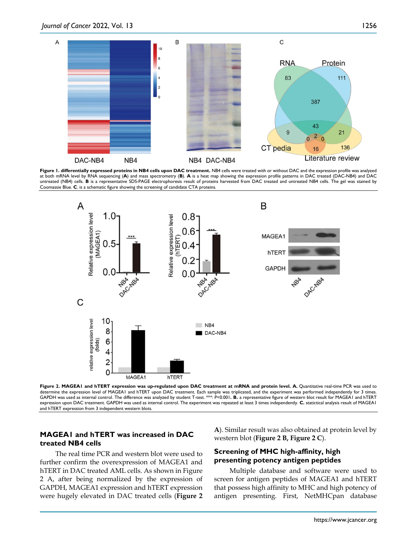

Figure 1. differentially expressed proteins in NB4 cells upon DAC treatment. NB4 cells were treated with or without DAC and the expression profile was analyzed at both mRNA level by RNA sequencing (**A**) and mass spectrometry (**B**). **A** is a heat map showing the expression profile patterns in DAC treated (DAC-NB4) and DAC untreated (NB4) cells. **B** is a representative SDS-PAGE electrophoresis result of proteins harvested from DAC treated and untreated NB4 cells. The gel was stained by Coomassie Blue. **C**. is a schematic figure showing the screening of candidate CTA proteins.



Figure 2. MAGEA1 and hTERT expression was up-regulated upon DAC treatment at mRNA and protein level. A. Quantitative real-time PCR was used to determine the expression level of MAGEA1 and hTERT upon DAC treatment. Each sample was triplicated, and the experiment was performed independently for 3 times. GAPDH was used as internal control. The difference was analyzed by student T-test. \*\*\*: P<0.001**. B.** a representative figure of western blot result for MAGEA1 and hTERT expression upon DAC treatment. GAPDH was used as internal control. The experiment was repeated at least 3 times independently. **C.** statictical analysis result of MAGEA1 and hTERT expression from 3 independent western blots.

# **MAGEA1 and hTERT was increased in DAC treated NB4 cells**

The real time PCR and western blot were used to further confirm the overexpression of MAGEA1 and hTERT in DAC treated AML cells. As shown in Figure 2 A, after being normalized by the expression of GAPDH, MAGEA1 expression and hTERT expression were hugely elevated in DAC treated cells (**Figure 2**  **A**). Similar result was also obtained at protein level by western blot (**Figure 2 B, Figure 2 C**).

## **Screening of MHC high-affinity, high presenting potency antigen peptides**

Multiple database and software were used to screen for antigen peptides of MAGEA1 and hTERT that possess high affinity to MHC and high potency of antigen presenting. First, NetMHCpan database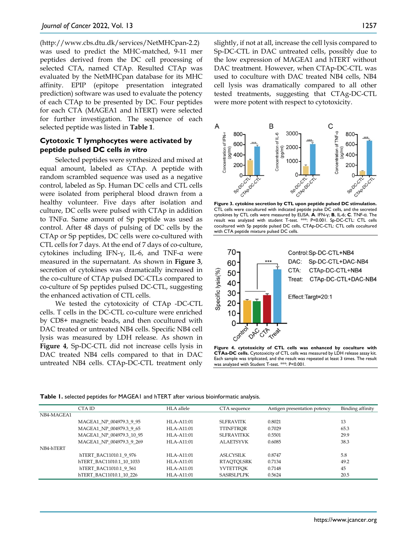(http://www.cbs.dtu.dk/services/NetMHCpan-2.2) was used to predict the MHC-matched, 9-11 mer peptides derived from the DC cell processing of selected CTA, named CTAp. Resulted CTAp was evaluated by the NetMHCpan database for its MHC affinity. EPIP (epitope presentation integrated prediction) software was used to evaluate the potency of each CTAp to be presented by DC. Four peptides for each CTA (MAGEA1 and hTERT) were selected for further investigation. The sequence of each selected peptide was listed in **Table 1**.

#### **Cytotoxic T lymphocytes were activated by peptide pulsed DC cells** *in vitro*

Selected peptides were synthesized and mixed at equal amount, labeled as CTAp. A peptide with random scrambled sequence was used as a negative control, labeled as Sp. Human DC cells and CTL cells were isolated from peripheral blood drawn from a healthy volunteer. Five days after isolation and culture, DC cells were pulsed with CTAp in addition to TNFα. Same amount of Sp peptide was used as control. After 48 days of pulsing of DC cells by the CTAp or Sp peptides, DC cells were co-cultured with CTL cells for 7 days. At the end of 7 days of co-culture, cytokines including IFN-γ, IL-6, and TNF-α were measured in the supernatant. As shown in **Figure 3**, secretion of cytokines was dramatically increased in the co-culture of CTAp pulsed DC-CTLs compared to co-culture of Sp peptides pulsed DC-CTL, suggesting the enhanced activation of CTL cells.

We tested the cytotoxicity of CTAp -DC-CTL cells. T cells in the DC-CTL co-culture were enriched by CD8+ magnetic beads, and then cocultured with DAC treated or untreated NB4 cells. Specific NB4 cell lysis was measured by LDH release. As shown in **Figure 4**, Sp-DC-CTL did not increase cells lysis in DAC treated NB4 cells compared to that in DAC untreated NB4 cells. CTAp-DC-CTL treatment only slightly, if not at all, increase the cell lysis compared to Sp-DC-CTL in DAC untreated cells, possibly due to the low expression of MAGEA1 and hTERT without DAC treatment. However, when CTAp-DC-CTL was used to coculture with DAC treated NB4 cells, NB4 cell lysis was dramatically compared to all other tested treatments, suggesting that CTAg-DC-CTL were more potent with respect to cytotoxicity.



**Figure 3. cytokine secretion by CTL upon peptide pulsed DC stimulation.** CTL cells were cocultured with indicated peptide pulse DC cells, and the secreted cytokines by CTL cells were measured by ELISA. **A**. IFN-γ; **B**, IL-6; **C**. TNF-α. The result was analyzed with student T-test. \*\*\*: P<0.001. Sp-DC-CTL: CTL cells cocultured with Sp peptide pulsed DC cells, CTAp-DC-CTL: CTL cells cocultured with CTA peptide mixture pulsed DC cells.



**Figure 4. cytotoxicity of CTL cells was enhanced by coculture with CTAa-DC cells.** Cytotoxicity of CTL cells was measured by LDH release assay kit. Each sample was triplicated, and the result was repeated at least 3 times. The result was analyzed with Student T-test. \*\*\*: P<0.001.

|  |  | Table 1. selected peptides for MAGEA1 and hTERT after various bioinformatic analysis. |  |
|--|--|---------------------------------------------------------------------------------------|--|
|--|--|---------------------------------------------------------------------------------------|--|

|            | CTA ID                   | HLA allele    | CTA sequence      | Antigen presentation potency | Binding affinity |
|------------|--------------------------|---------------|-------------------|------------------------------|------------------|
| NB4-MAGEA1 |                          |               |                   |                              |                  |
|            | MAGEA1_NP_004979.3_9_95  | $HI.A-A11:01$ | <b>SLERAVITK</b>  | 0.8021                       | 13               |
|            | MAGEA1 NP 004979.3 9 65  | HLA-A11:01    | <b>TTINFTROR</b>  | 0.7029                       | 65.3             |
|            | MAGEA1 NP 004979.3 10 95 | $HI.A-A11:01$ | <b>SLFRAVITKK</b> | 0.5501                       | 29.9             |
|            | MAGEA1 NP 004979.3 9 269 | $HI.A-A11:01$ | <b>ALAETSYVK</b>  | 0.6085                       | 38.3             |
| NB4-hTERT  |                          |               |                   |                              |                  |
|            | hTERT BAC11010.1 9 976   | $HI.A-A11:01$ | ASLCYSILK         | 0.8747                       | 5.8              |
|            | hTERT BAC11010.1 10 1033 | HLA-A11:01    | <b>RTAOTOLSRK</b> | 0.7134                       | 49.2             |
|            | hTERT BAC11010.1 9 561   | $HI.A-A11:01$ | <b>YVTETTFOK</b>  | 0.7148                       | 45               |
|            | hTERT BAC11010.1 10 226  | $HI.A-A11:01$ | <b>SASRSLPLPK</b> | 0.5624                       | 20.5             |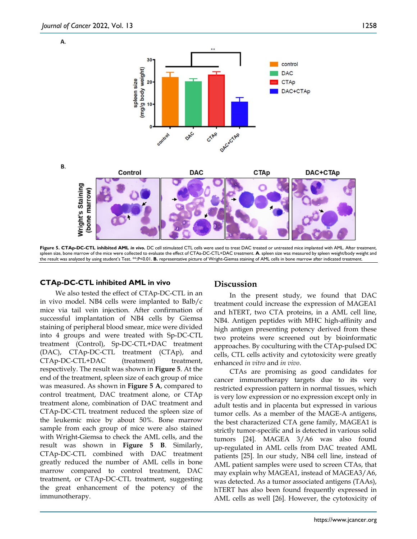





Figure 5. CTAp-DC-CTL inhibited AML in vivo. DC cell stimulated CTL cells were used to treat DAC treated or untreated mice implanted with AML. After treatment, spleen size, bone marrow of the mice were collected to evaluate the effect of CTAa-DC-CTL+DAC treatment. **A**. spleen size was measured by spleen weight/body weight and the result was analyzed by using student's Test. \*\*:P<0.01. **B.** representative picture of Wright-Giemsa staining of AML cells in bone marrow after indicated treatment.

#### **CTAp-DC-CTL inhibited AML in vivo**

We also tested the effect of CTAp-DC-CTL in an in vivo model. NB4 cells were implanted to Balb/c mice via tail vein injection. After confirmation of successful implantation of NB4 cells by Giemsa staining of peripheral blood smear, mice were divided into 4 groups and were treated with Sp-DC-CTL treatment (Control), Sp-DC-CTL+DAC treatment (DAC), CTAp-DC-CTL treatment (CTAp), and CTAp-DC-CTL+DAC (treatment) treatment, respectively. The result was shown in **Figure 5**. At the end of the treatment, spleen size of each group of mice was measured. As shown in **Figure 5 A**, compared to control treatment, DAC treatment alone, or CTAp treatment alone, combination of DAC treatment and CTAp-DC-CTL treatment reduced the spleen size of the leukemic mice by about 50%. Bone marrow sample from each group of mice were also stained with Wright-Giemsa to check the AML cells, and the result was shown in **Figure 5 B**. Similarly, CTAp-DC-CTL combined with DAC treatment greatly reduced the number of AML cells in bone marrow compared to control treatment, DAC treatment, or CTAp-DC-CTL treatment, suggesting the great enhancement of the potency of the immunotherapy.

#### **Discussion**

In the present study, we found that DAC treatment could increase the expression of MAGEA1 and hTERT, two CTA proteins, in a AML cell line, NB4. Antigen peptides with MHC high-affinity and high antigen presenting potency derived from these two proteins were screened out by bioinformatic approaches. By coculturing with the CTAp-pulsed DC cells, CTL cells activity and cytotoxicity were greatly enhanced *in vitro* and *in vivo*.

CTAs are promising as good candidates for cancer immunotherapy targets due to its very restricted expression pattern in normal tissues, which is very low expression or no expression except only in adult testis and in placenta but expressed in various tumor cells. As a member of the MAGE-A antigens, the best characterized CTA gene family, MAGEA1 is strictly tumor-specific and is detected in various solid tumors [24]. MAGEA 3/A6 was also found up-regulated in AML cells from DAC treated AML patients [25]. In our study, NB4 cell line, instead of AML patient samples were used to screen CTAs, that may explain why MAGEA1, instead of MAGEA3/A6, was detected. As a tumor associated antigens (TAAs), hTERT has also been found frequently expressed in AML cells as well [26]. However, the cytotoxicity of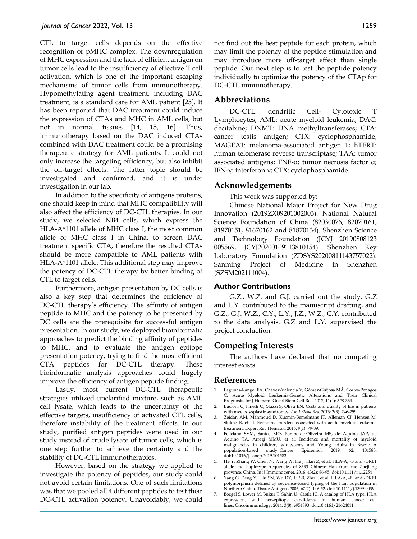CTL to target cells depends on the effective recognition of pMHC complex. The downregulation of MHC expression and the lack of efficient antigen on tumor cells lead to the insufficiency of effective T cell activation, which is one of the important escaping mechanisms of tumor cells from immunotherapy. Hypomethylating agent treatment, including DAC treatment, is a standard care for AML patient [25]. It has been reported that DAC treatment could induce the expression of CTAs and MHC in AML cells, but not in normal tissues [14, 15, 16]. Thus, immunotherapy based on the DAC induced CTAs combined with DAC treatment could be a promising therapeutic strategy for AML patients. It could not only increase the targeting efficiency, but also inhibit the off-target effects. The latter topic should be investigated and confirmed, and it is under investigation in our lab.

In addition to the specificity of antigens proteins, one should keep in mind that MHC compatibility will also affect the efficiency of DC-CTL therapies. In our study, we selected NB4 cells, which express the HLA-A\*1101 allele of MHC class I, the most common allele of MHC class I in China, to screen DAC treatment specific CTA, therefore the resulted CTAs should be more compatible to AML patients with HLA-A\*1101 allele. This additional step may improve the potency of DC-CTL therapy by better binding of CTL to target cells.

Furthermore, antigen presentation by DC cells is also a key step that determines the efficiency of DC-CTL therapy's efficiency. The affinity of antigen peptide to MHC and the potency to be presented by DC cells are the prerequisite for successful antigen presentation. In our study, we deployed bioinformatic approaches to predict the binding affinity of peptides to MHC, and to evaluate the antigen epitope presentation potency, trying to find the most efficient CTA peptides for DC-CTL therapy. These bioinformatic analysis approaches could hugely improve the efficiency of antigen peptide finding.

Lastly, most current DC-CTL therapeutic strategies utilized unclarified mixture, such as AML cell lysate, which leads to the uncertainty of the effective targets, insufficiency of activated CTL cells, therefore instability of the treatment effects. In our study, purified antigen peptides were used in our study instead of crude lysate of tumor cells, which is one step further to achieve the certainty and the stability of DC-CTL immunotherapies.

However, based on the strategy we applied to investigate the potency of peptides, our study could not avoid certain limitations. One of such limitations was that we pooled all 4 different peptides to test their DC-CTL activation potency. Unavoidably, we could not find out the best peptide for each protein, which may limit the potency of the peptide stimulation and may introduce more off-target effect than single peptide. Our next step is to test the peptide potency individually to optimize the potency of the CTAp for DC-CTL immunotherapy.

# **Abbreviations**

DC-CTL: dendritic Cell- Cytotoxic T Lymphocytes; AML: acute myeloid leukemia; DAC: decitabine; DNMT: DNA methyltransferases; CTA: cancer testis antigen; CTX: cyclophosphamide; MAGEA1: melanoma-associated antigen 1; hTERT: human telomerase reverse transcriptase; TAA: tumor associated antigens; TNF-α: tumor necrosis factor α; IFN-γ: interferon γ; CTX: cyclophosphamide.

# **Acknowledgements**

This work was supported by:

Chinese National Major Project for New Drug Innovation (2019ZX09201002003). National Natural Science Foundation of China (82030076, 82070161, 81970151, 81670162 and 81870134). Shenzhen Science and Technology Foundation (JCYJ 20190808123 005569, JCYJ20200109113810154). Shenzhen Key Laboratory Foundation (ZDSYS20200811143757022). Sanming Project of Medicine in Shenzhen (SZSM202111004).

#### **Author Contributions**

G.Z., W.Z. and G.J. carried out the study. G.Z and L.Y. contributed to the manuscript drafting, and G.Z., G.J. W.Z., C.Y., L.Y., J.Z., W.Z., C.Y. contributed to the data analysis. G.Z and L.Y. supervised the project conduction.

# **Competing Interests**

The authors have declared that no competing interest exists.

## **References**

- 1. Lagunas-Rangel FA, Chávez-Valencia V, Gómez-Guijosa MÁ, Cortes-Penagos Acute Myeloid Leukemia-Genetic Alterations and Their Clinical Prognosis. Int J Hematol Oncol Stem Cell Res. 2017; 11(4): 328-339.
- 2. Lucioni C, Finelli C, Mazzi S, Oliva EN. Costs and quality of life in patients with myelodysplastic syndromes. *Am J Blood Res*. 2013; 3(3): 246-259.
- 3. Zeidan AM, Mahmoud D, Kucmin-Bemelmans IT, Alleman CJ, Hensen M, Skikne B, et al. Economic burden associated with acute myeloid leukemia treatment. Expert Rev Hematol. 2016; 9(1): 79-89.
- 4. Feliciano SVM, Santos MO, Pombo-de-Oliveira MS, de Aquino JAP, de Aquino TA, Arregi MMU, et al. Incidence and mortality of myeloid malignancies in children, adolescents and Young adults in Brazil: A population-based study. Cancer Epidemiol. 2019; 62: 101583. doi:10.1016/j.canep.2019.101583
- 5. He Y, Zhang W, Chen N, Wang W, He J, Han Z, et al. HLA-A, -B and -DRB1 allele and haplotype frequencies of 8333 Chinese Han from the Zhejiang province, China. Int J Immunogenet. 2016; 43(2): 86-95. doi:10.1111/iji.12254
- 6. Yang G, Deng YJ, Hu SN, Wu DY, Li SB, Zhu J, et al. HLA-A, -B, and -DRB1 polymorphism defined by sequence-based typing of the Han population in Northern China. Tissue Antigens.2006; 67(2): 146-52. doi: 10.1111/j.1399-0039
- 7. Boegel S, Löwer M, Bukur T, Sahin U, Castle JC. A catalog of HLA type, HLA expression, and neo-epitope candidates in human cancer cell lines. Oncoimmunology. 2014; 3(8): e954893. doi:10.4161/21624011